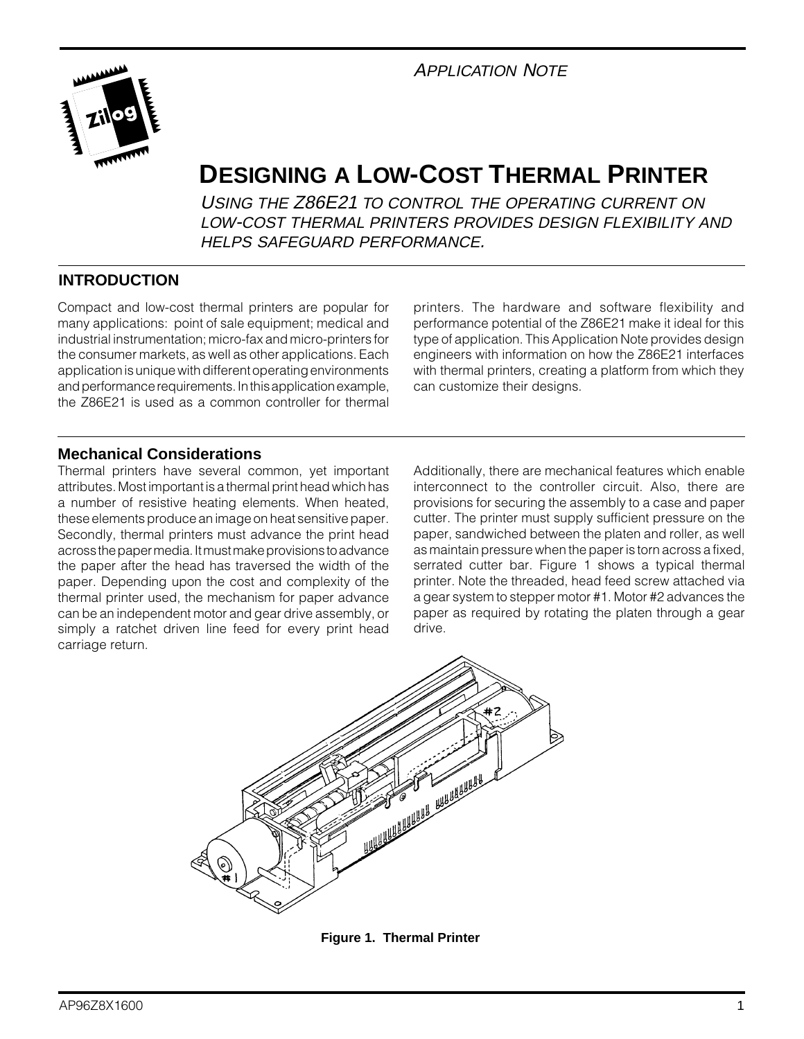# APPLICATION NOTE



# **DESIGNING A LOW-COST THERMAL PRINTER**

USING THE Z86E21 TO CONTROL THE OPERATING CURRENT ON LOW-COST THERMAL PRINTERS PROVIDES DESIGN FLEXIBILITY AND HELPS SAFEGUARD PERFORMANCE.

## **INTRODUCTION**

Compact and low-cost thermal printers are popular for many applications: point of sale equipment; medical and industrial instrumentation; micro-fax and micro-printers for the consumer markets, as well as other applications. Each application is unique with different operating environments and performance requirements. In this application example, the Z86E21 is used as a common controller for thermal

printers. The hardware and software flexibility and performance potential of the Z86E21 make it ideal for this type of application. This Application Note provides design engineers with information on how the Z86E21 interfaces with thermal printers, creating a platform from which they can customize their designs.

### **Mechanical Considerations**

Thermal printers have several common, yet important attributes. Most important is a thermal print head which has a number of resistive heating elements. When heated, these elements produce an image on heat sensitive paper. Secondly, thermal printers must advance the print head across the paper media. It must make provisions to advance the paper after the head has traversed the width of the paper. Depending upon the cost and complexity of the thermal printer used, the mechanism for paper advance can be an independent motor and gear drive assembly, or simply a ratchet driven line feed for every print head carriage return.

Additionally, there are mechanical features which enable interconnect to the controller circuit. Also, there are provisions for securing the assembly to a case and paper cutter. The printer must supply sufficient pressure on the paper, sandwiched between the platen and roller, as well as maintain pressure when the paper is torn across a fixed, serrated cutter bar. Figure 1 shows a typical thermal printer. Note the threaded, head feed screw attached via a gear system to stepper motor #1. Motor #2 advances the paper as required by rotating the platen through a gear drive.



**Figure 1. Thermal Printer**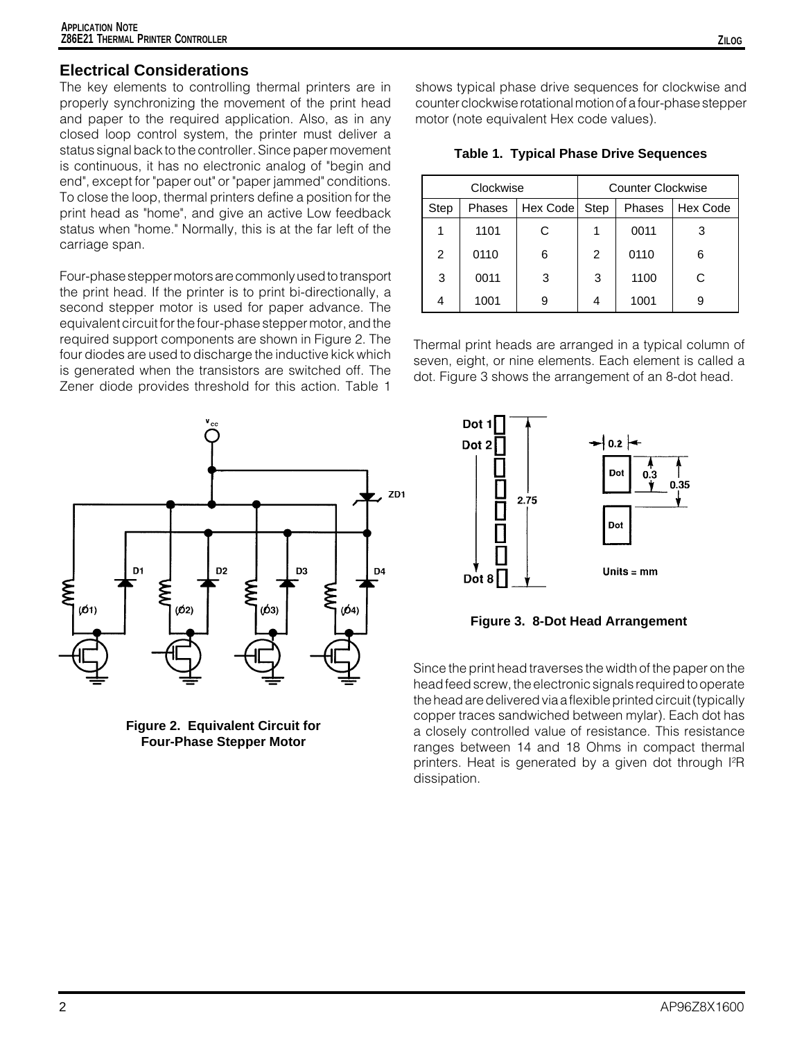### **Electrical Considerations**

The key elements to controlling thermal printers are in properly synchronizing the movement of the print head and paper to the required application. Also, as in any closed loop control system, the printer must deliver a status signal back to the controller. Since paper movement is continuous, it has no electronic analog of "begin and end", except for "paper out" or "paper jammed" conditions. To close the loop, thermal printers define a position for the print head as "home", and give an active Low feedback status when "home." Normally, this is at the far left of the carriage span.

Four-phase stepper motors are commonly used to transport the print head. If the printer is to print bi-directionally, a second stepper motor is used for paper advance. The equivalent circuit for the four-phase stepper motor, and the required support components are shown in Figure 2. The four diodes are used to discharge the inductive kick which is generated when the transistors are switched off. The Zener diode provides threshold for this action. Table 1



**Figure 2. Equivalent Circuit for Four-Phase Stepper Motor**

shows typical phase drive sequences for clockwise and counter clockwise rotational motion of a four-phase stepper motor (note equivalent Hex code values).

|  |  |  |  | <b>Table 1. Typical Phase Drive Sequences</b> |
|--|--|--|--|-----------------------------------------------|
|--|--|--|--|-----------------------------------------------|

| Clockwise |        |          | Counter Clockwise |        |          |
|-----------|--------|----------|-------------------|--------|----------|
| Step      | Phases | Hex Code | Step              | Phases | Hex Code |
|           | 1101   | С        |                   | 0011   | 3        |
| 2         | 0110   | 6        | $\overline{2}$    | 0110   | 6        |
| 3         | 0011   | 3        | 3                 | 1100   | C        |
| 4         | 1001   | 9        |                   | 1001   | 9        |

Thermal print heads are arranged in a typical column of seven, eight, or nine elements. Each element is called a dot. Figure 3 shows the arrangement of an 8-dot head.



**Figure 3. 8-Dot Head Arrangement**

Since the print head traverses the width of the paper on the head feed screw, the electronic signals required to operate the head are delivered via a flexible printed circuit (typically copper traces sandwiched between mylar). Each dot has a closely controlled value of resistance. This resistance ranges between 14 and 18 Ohms in compact thermal printers. Heat is generated by a given dot through l<sup>2</sup>R dissipation.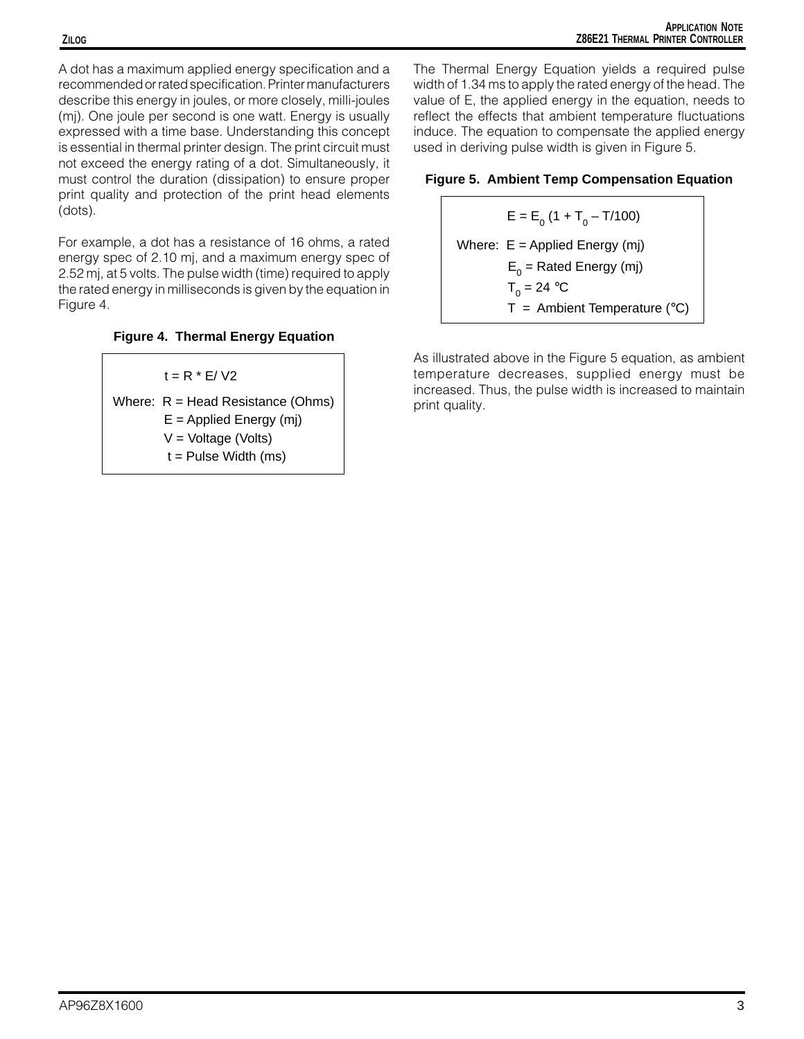A dot has a maximum applied energy specification and a recommended or rated specification. Printer manufacturers describe this energy in joules, or more closely, milli-joules (mj). One joule per second is one watt. Energy is usually expressed with a time base. Understanding this concept is essential in thermal printer design. The print circuit must not exceed the energy rating of a dot. Simultaneously, it must control the duration (dissipation) to ensure proper print quality and protection of the print head elements (dots).

For example, a dot has a resistance of 16 ohms, a rated energy spec of 2.10 mj, and a maximum energy spec of 2.52 mj, at 5 volts. The pulse width (time) required to apply the rated energy in milliseconds is given by the equation in Figure 4.

### **Figure 4. Thermal Energy Equation**

 $t = R * E / V2$ 

Where:  $R = Head Resistance (Ohms)$  $E =$  Applied Energy (mj) V = Voltage (Volts)  $t =$  Pulse Width (ms)

The Thermal Energy Equation yields a required pulse width of 1.34 ms to apply the rated energy of the head. The value of E, the applied energy in the equation, needs to reflect the effects that ambient temperature fluctuations induce. The equation to compensate the applied energy used in deriving pulse width is given in Figure 5.

#### **Figure 5. Ambient Temp Compensation Equation**

 $E = E_0 (1 + T_0 - T/100)$ Where: E = Applied Energy (mj)  $\mathsf{E}_{\mathsf{0}}^{}$  = Rated Energy (mj)  $T_{0}$  = 24 °C  $T =$  Ambient Temperature ( $°C$ )

As illustrated above in the Figure 5 equation, as ambient temperature decreases, supplied energy must be increased. Thus, the pulse width is increased to maintain print quality.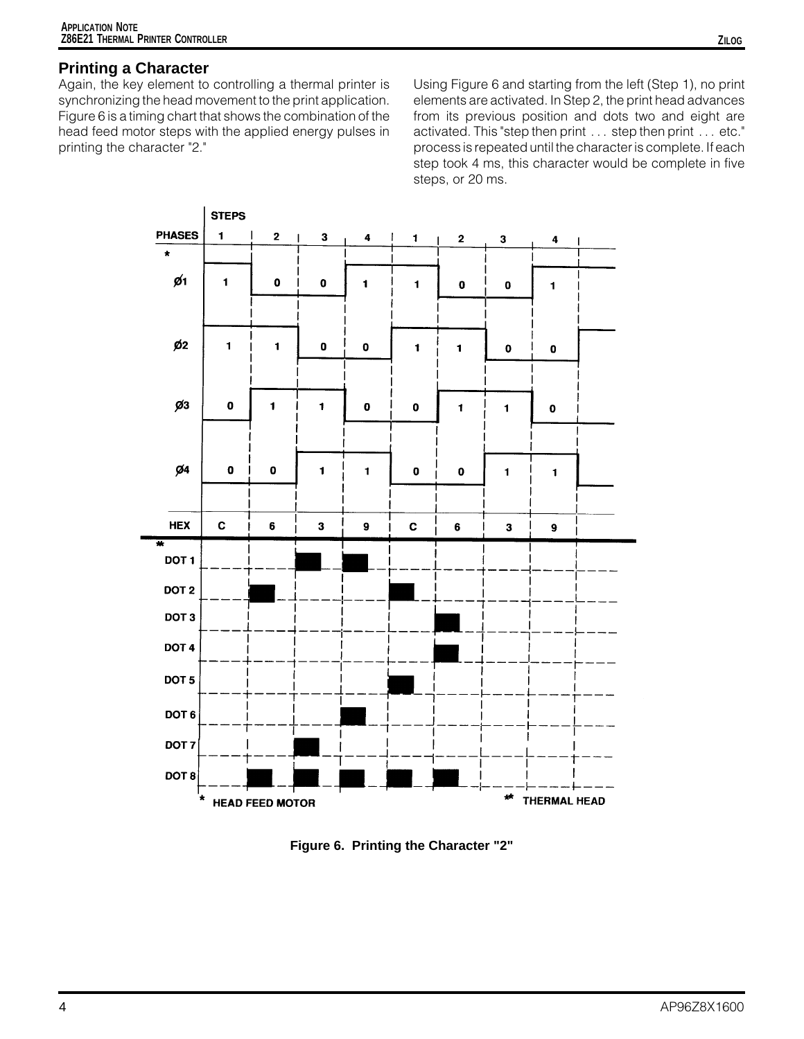# **Printing a Character**

Again, the key element to controlling a thermal printer is synchronizing the head movement to the print application. Figure 6 is a timing chart that shows the combination of the head feed motor steps with the applied energy pulses in printing the character "2."

Using Figure 6 and starting from the left (Step 1), no print elements are activated. In Step 2, the print head advances from its previous position and dots two and eight are activated. This "step then print . . . step then print . . . etc." process is repeated until the character is complete. If each step took 4 ms, this character would be complete in five steps, or 20 ms.



**Figure 6. Printing the Character "2"**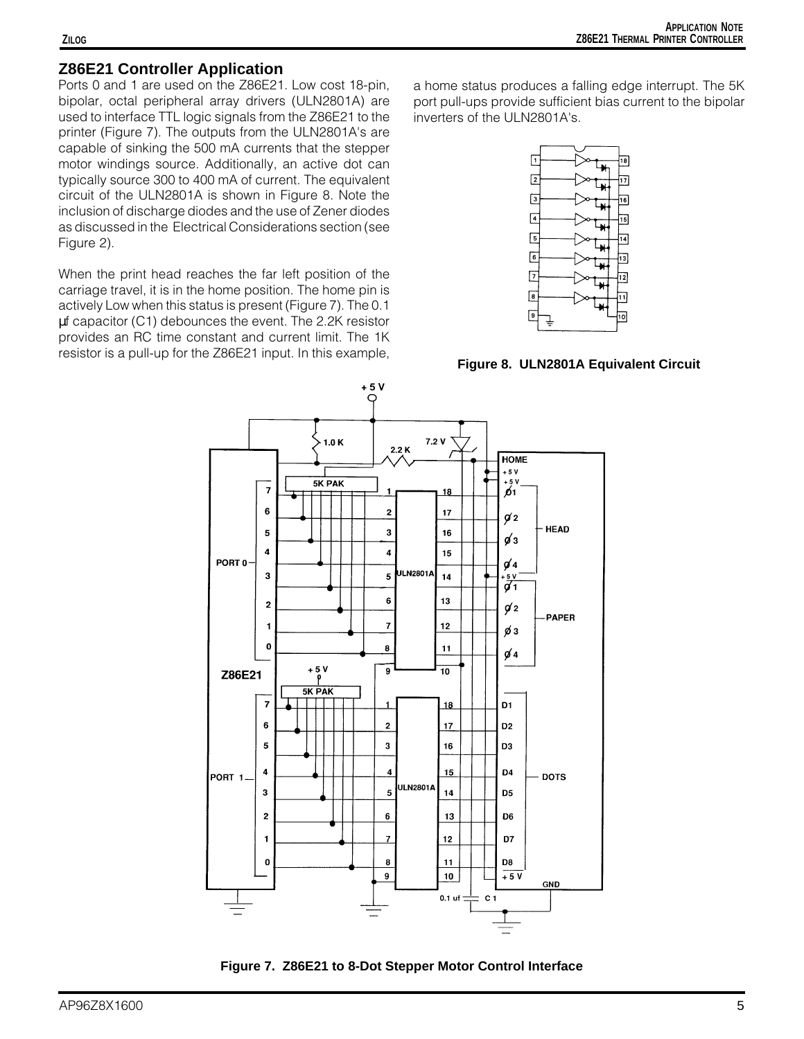### **Z86E21 Controller Application**

Ports 0 and 1 are used on the Z86E21. Low cost 18-pin, bipolar, octal peripheral array drivers (ULN2801A) are used to interface TTL logic signals from the Z86E21 to the printer (Figure 7). The outputs from the ULN2801A's are capable of sinking the 500 mA currents that the stepper motor windings source. Additionally, an active dot can typically source 300 to 400 mA of current. The equivalent circuit of the ULN2801A is shown in Figure 8. Note the inclusion of discharge diodes and the use of Zener diodes as discussed in the Electrical Considerations section (see Figure 2).

When the print head reaches the far left position of the carriage travel, it is in the home position. The home pin is actively Low when this status is present (Figure 7). The 0.1 µf capacitor (C1) debounces the event. The 2.2K resistor provides an RC time constant and current limit. The 1K resistor is a pull-up for the Z86E21 input. In this example,

a home status produces a falling edge interrupt. The 5K port pull-ups provide sufficient bias current to the bipolar inverters of the ULN2801A's.



**Figure 8. ULN2801A Equivalent Circuit**



**Figure 7. Z86E21 to 8-Dot Stepper Motor Control Interface**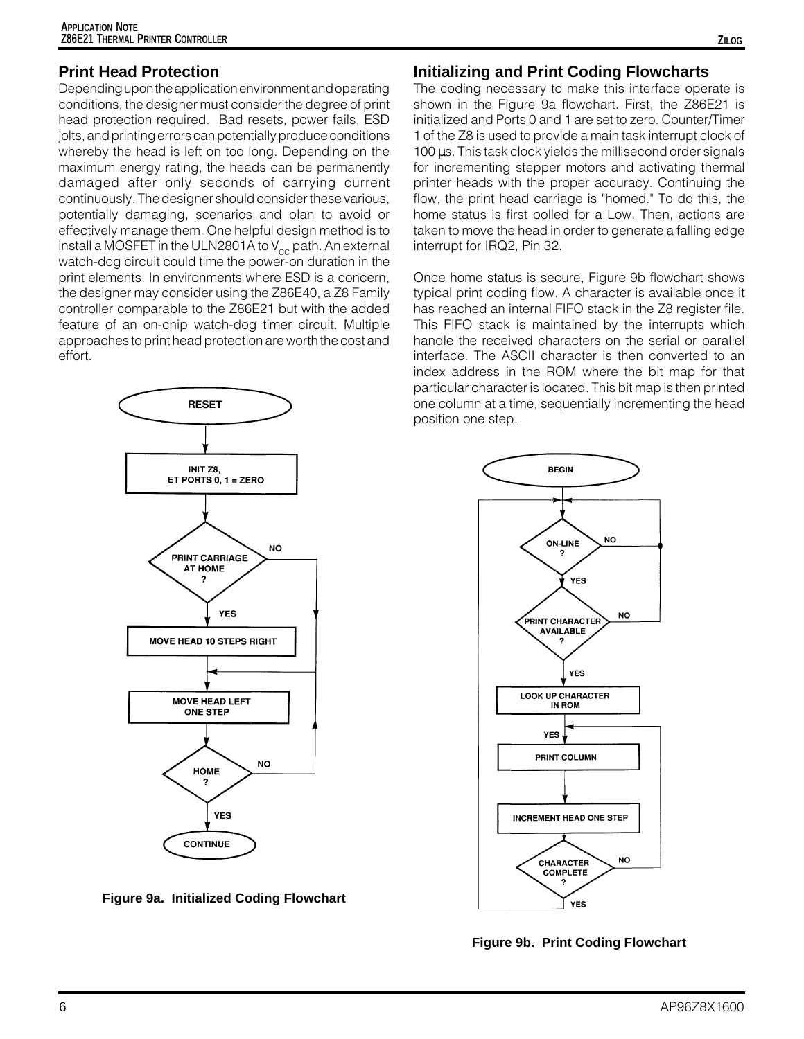### **Print Head Protection**

Depending upon the application environment and operating conditions, the designer must consider the degree of print head protection required. Bad resets, power fails, ESD jolts, and printing errors can potentially produce conditions whereby the head is left on too long. Depending on the maximum energy rating, the heads can be permanently damaged after only seconds of carrying current continuously. The designer should consider these various, potentially damaging, scenarios and plan to avoid or effectively manage them. One helpful design method is to install a MOSFET in the ULN2801A to  $V_{cc}$  path. An external watch-dog circuit could time the power-on duration in the print elements. In environments where ESD is a concern, the designer may consider using the Z86E40, a Z8 Family controller comparable to the Z86E21 but with the added feature of an on-chip watch-dog timer circuit. Multiple approaches to print head protection are worth the cost and effort.



**Figure 9a. Initialized Coding Flowchart**

### **Initializing and Print Coding Flowcharts**

The coding necessary to make this interface operate is shown in the Figure 9a flowchart. First, the Z86E21 is initialized and Ports 0 and 1 are set to zero. Counter/Timer 1 of the Z8 is used to provide a main task interrupt clock of 100 µs. This task clock yields the millisecond order signals for incrementing stepper motors and activating thermal printer heads with the proper accuracy. Continuing the flow, the print head carriage is "homed." To do this, the home status is first polled for a Low. Then, actions are taken to move the head in order to generate a falling edge interrupt for IRQ2, Pin 32.

Once home status is secure, Figure 9b flowchart shows typical print coding flow. A character is available once it has reached an internal FIFO stack in the Z8 register file. This FIFO stack is maintained by the interrupts which handle the received characters on the serial or parallel interface. The ASCII character is then converted to an index address in the ROM where the bit map for that particular character is located. This bit map is then printed one column at a time, sequentially incrementing the head position one step.



**Figure 9b. Print Coding Flowchart**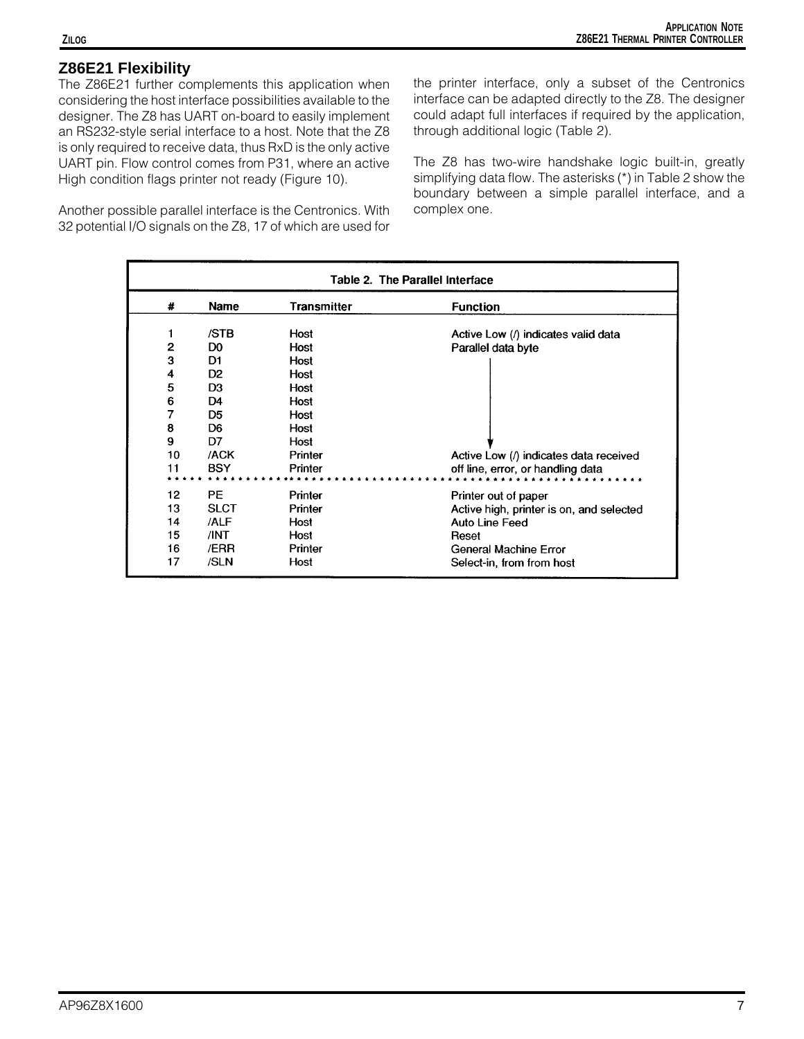### **Z86E21 Flexibility**

The Z86E21 further complements this application when considering the host interface possibilities available to the designer. The Z8 has UART on-board to easily implement an RS232-style serial interface to a host. Note that the Z8 is only required to receive data, thus RxD is the only active UART pin. Flow control comes from P31, where an active High condition flags printer not ready (Figure 10).

Another possible parallel interface is the Centronics. With 32 potential I/O signals on the Z8, 17 of which are used for the printer interface, only a subset of the Centronics interface can be adapted directly to the Z8. The designer could adapt full interfaces if required by the application, through additional logic (Table 2).

The Z8 has two-wire handshake logic built-in, greatly simplifying data flow. The asterisks (\*) in Table 2 show the boundary between a simple parallel interface, and a complex one.

| Table 2. The Parallel Interface |                |                    |                                          |  |
|---------------------------------|----------------|--------------------|------------------------------------------|--|
| #                               | Name           | <b>Transmitter</b> | <b>Function</b>                          |  |
| 1                               | /STB           | Host               | Active Low (/) indicates valid data      |  |
| 2                               | D <sub>0</sub> | Host               | Parallel data byte                       |  |
| 3                               | D <sub>1</sub> | Host               |                                          |  |
| 4                               | D <sub>2</sub> | Host               |                                          |  |
| 5                               | D <sub>3</sub> | Host               |                                          |  |
| 6                               | D <sub>4</sub> | Host               |                                          |  |
| 7                               | D <sub>5</sub> | Host               |                                          |  |
| 8                               | D <sub>6</sub> | Host               |                                          |  |
| 9                               | D7             | Host               |                                          |  |
| 10                              | /ACK           | Printer            | Active Low (/) indicates data received   |  |
| 11                              | <b>BSY</b>     | Printer            | off line, error, or handling data        |  |
|                                 |                |                    |                                          |  |
| 12                              | <b>PE</b>      | Printer            | Printer out of paper                     |  |
| 13                              | <b>SLCT</b>    | Printer            | Active high, printer is on, and selected |  |
| 14                              | /ALF           | Host               | Auto Line Feed                           |  |
| 15                              | /INT           | Host               | Reset                                    |  |
| 16                              | /ERR           | Printer            | General Machine Error                    |  |
| 17                              | /SLN           | Host               | Select-in, from from host                |  |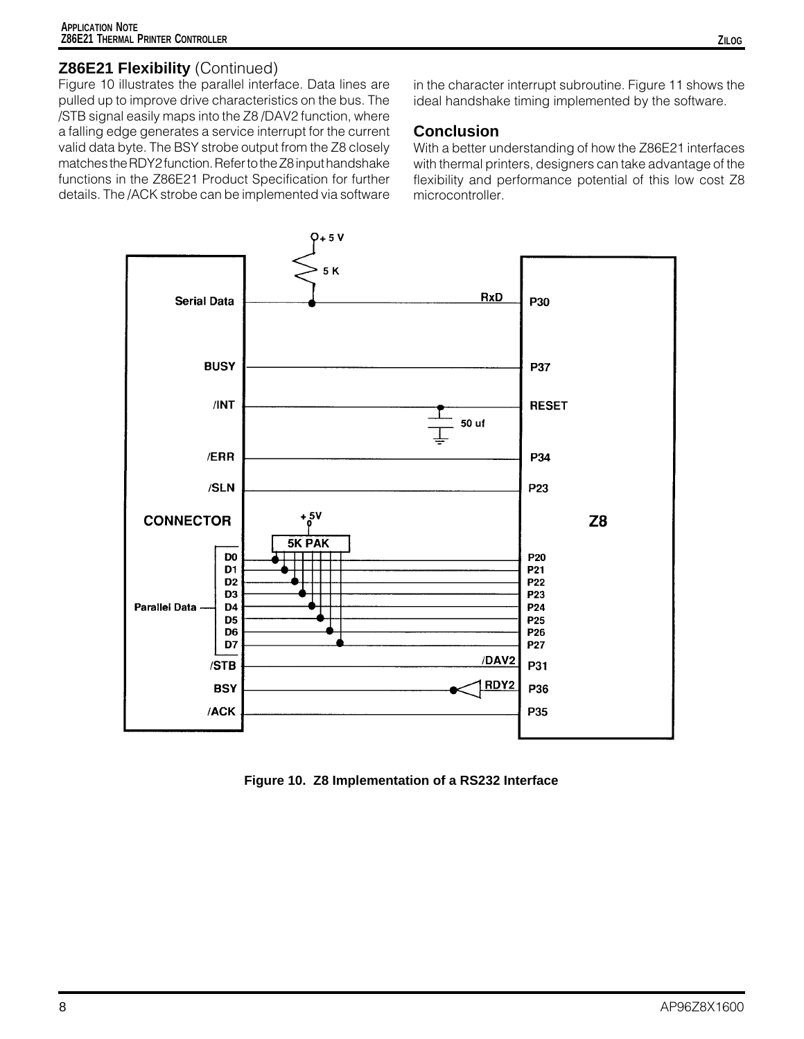### **Z86E21 Flexibility** (Continued)

Figure 10 illustrates the parallel interface. Data lines are pulled up to improve drive characteristics on the bus. The /STB signal easily maps into the Z8 /DAV2 function, where a falling edge generates a service interrupt for the current valid data byte. The BSY strobe output from the Z8 closely matches the RDY2 function. Refer to the Z8 input handshake functions in the Z86E21 Product Specification for further details. The /ACK strobe can be implemented via software

in the character interrupt subroutine. Figure 11 shows the ideal handshake timing implemented by the software.

### **Conclusion**

With a better understanding of how the Z86E21 interfaces with thermal printers, designers can take advantage of the flexibility and performance potential of this low cost Z8 microcontroller.



**Figure 10. Z8 Implementation of a RS232 Interface**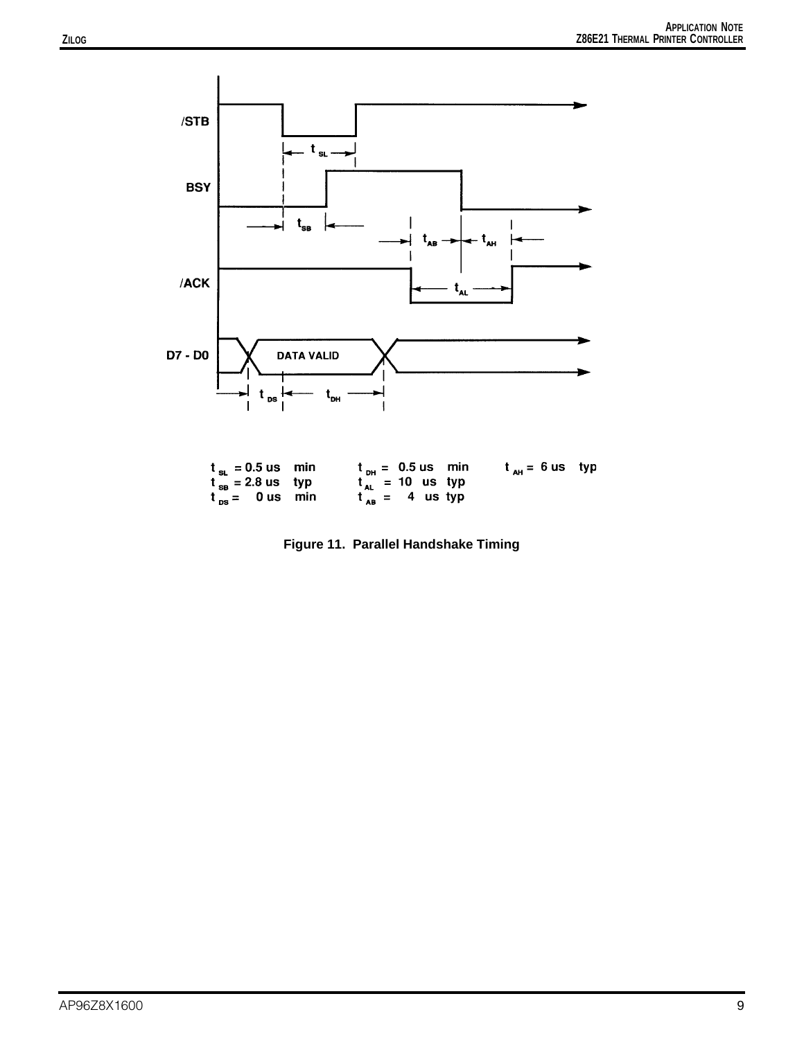

| $t_{\rm st}$ = 0.5 us min | $t_{\rm{DM}} = 0.5 \,\rm{us}$ min | $t_{\rm BH}$ = 6 us typ |  |
|---------------------------|-----------------------------------|-------------------------|--|
| $t_{\rm ss}$ = 2.8 us typ | $t_{\rm at}$ = 10 us typ          |                         |  |
| $t_{ps}$ = 0 us min       | $t_{AB} = 4$ us typ               |                         |  |

**Figure 11. Parallel Handshake Timing**